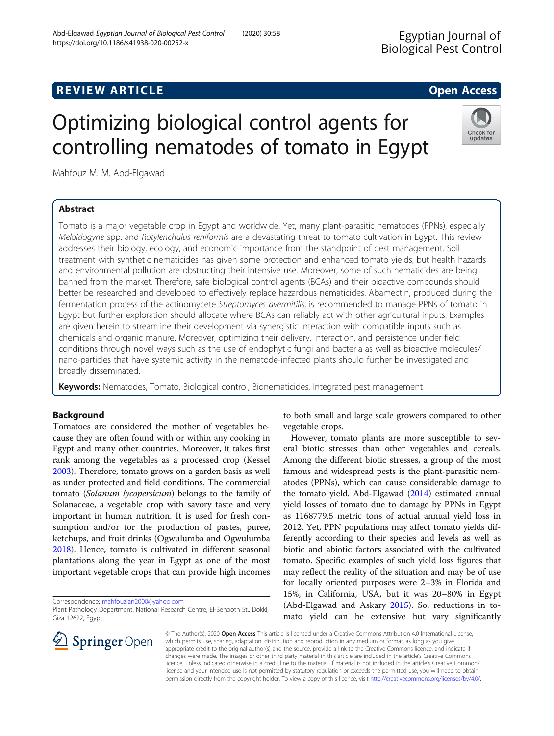## **REVIEW ARTICLE External intervention of the Contract Contract Contract Contract Contract Contract Contract Contract Contract Contract Contract Contract Contract Contract Contract Contract Contract Contract Contract Cont**

# Optimizing biological control agents for controlling nematodes of tomato in Egypt

Mahfouz M. M. Abd-Elgawad

## Abstract

#### Abd-Elgawad Egyptian Journal of Biological Pest Control (2020) 30:58 https://doi.org/10.1186/s41938-020-00252-x

Tomato is a major vegetable crop in Egypt and worldwide. Yet, many plant-parasitic nematodes (PPNs), especially Meloidogyne spp. and Rotylenchulus reniformis are a devastating threat to tomato cultivation in Egypt. This review addresses their biology, ecology, and economic importance from the standpoint of pest management. Soil treatment with synthetic nematicides has given some protection and enhanced tomato yields, but health hazards and environmental pollution are obstructing their intensive use. Moreover, some of such nematicides are being banned from the market. Therefore, safe biological control agents (BCAs) and their bioactive compounds should better be researched and developed to effectively replace hazardous nematicides. Abamectin, produced during the fermentation process of the actinomycete Streptomyces avermitilis, is recommended to manage PPNs of tomato in Egypt but further exploration should allocate where BCAs can reliably act with other agricultural inputs. Examples are given herein to streamline their development via synergistic interaction with compatible inputs such as chemicals and organic manure. Moreover, optimizing their delivery, interaction, and persistence under field conditions through novel ways such as the use of endophytic fungi and bacteria as well as bioactive molecules/ nano-particles that have systemic activity in the nematode-infected plants should further be investigated and broadly disseminated.

Keywords: Nematodes, Tomato, Biological control, Bionematicides, Integrated pest management

## Background

Tomatoes are considered the mother of vegetables because they are often found with or within any cooking in Egypt and many other countries. Moreover, it takes first rank among the vegetables as a processed crop (Kessel [2003](#page-9-0)). Therefore, tomato grows on a garden basis as well as under protected and field conditions. The commercial tomato (Solanum lycopersicum) belongs to the family of Solanaceae, a vegetable crop with savory taste and very important in human nutrition. It is used for fresh consumption and/or for the production of pastes, puree, ketchups, and fruit drinks (Ogwulumba and Ogwulumba [2018](#page-9-0)). Hence, tomato is cultivated in different seasonal plantations along the year in Egypt as one of the most important vegetable crops that can provide high incomes

Correspondence: [mahfouzian2000@yahoo.com](mailto:mahfouzian2000@yahoo.com)

to both small and large scale growers compared to other vegetable crops.

However, tomato plants are more susceptible to several biotic stresses than other vegetables and cereals. Among the different biotic stresses, a group of the most famous and widespread pests is the plant-parasitic nematodes (PPNs), which can cause considerable damage to the tomato yield. Abd-Elgawad [\(2014\)](#page-8-0) estimated annual yield losses of tomato due to damage by PPNs in Egypt as 1168779.5 metric tons of actual annual yield loss in 2012. Yet, PPN populations may affect tomato yields differently according to their species and levels as well as biotic and abiotic factors associated with the cultivated tomato. Specific examples of such yield loss figures that may reflect the reality of the situation and may be of use for locally oriented purposes were 2–3% in Florida and 15%, in California, USA, but it was 20–80% in Egypt (Abd-Elgawad and Askary [2015](#page-8-0)). So, reductions in tomato yield can be extensive but vary significantly

© The Author(s). 2020 Open Access This article is licensed under a Creative Commons Attribution 4.0 International License, which permits use, sharing, adaptation, distribution and reproduction in any medium or format, as long as you give appropriate credit to the original author(s) and the source, provide a link to the Creative Commons licence, and indicate if changes were made. The images or other third party material in this article are included in the article's Creative Commons licence, unless indicated otherwise in a credit line to the material. If material is not included in the article's Creative Commons licence and your intended use is not permitted by statutory regulation or exceeds the permitted use, you will need to obtain permission directly from the copyright holder. To view a copy of this licence, visit <http://creativecommons.org/licenses/by/4.0/>.





Plant Pathology Department, National Research Centre, El-Behooth St., Dokki, Giza 12622, Egypt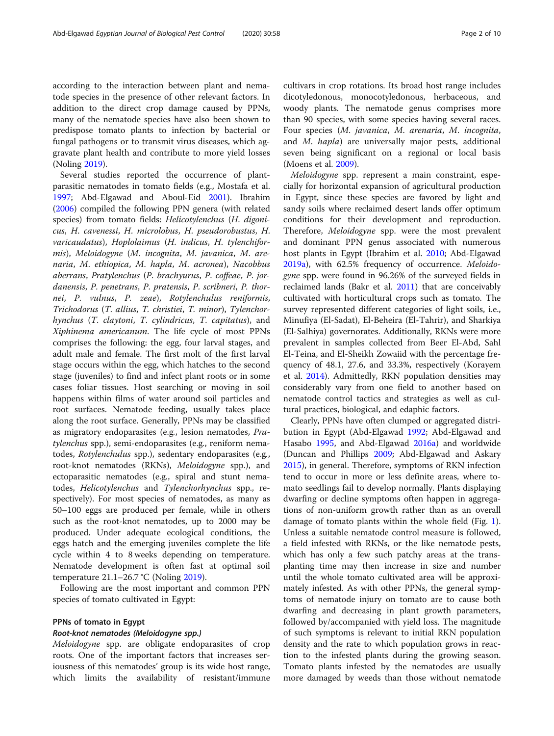according to the interaction between plant and nematode species in the presence of other relevant factors. In addition to the direct crop damage caused by PPNs, many of the nematode species have also been shown to predispose tomato plants to infection by bacterial or fungal pathogens or to transmit virus diseases, which aggravate plant health and contribute to more yield losses (Noling [2019](#page-9-0)).

Several studies reported the occurrence of plantparasitic nematodes in tomato fields (e.g., Mostafa et al. [1997](#page-9-0); Abd-Elgawad and Aboul-Eid [2001](#page-8-0)). Ibrahim ([2006](#page-9-0)) compiled the following PPN genera (with related species) from tomato fields: Helicotylenchus (H. digonicus, H. cavenessi, H. microlobus, H. pseudorobustus, H. varicaudatus), Hoplolaimus (H. indicus, H. tylenchiformis), Meloidogyne (M. incognita, M. javanica, M. arenaria, M. ethiopica, M. hapla, M. acronea), Nacobbus aberrans, Pratylenchus (P. brachyurus, P. coffeae, P. jordanensis, P. penetrans, P. pratensis, P. scribneri, P. thornei, P. vulnus, P. zeae), Rotylenchulus reniformis, Trichodorus (T. allius, T. christiei, T. minor), Tylenchorhynchus (T. claytoni, T. cylindricus, T. capitatus), and Xiphinema americanum. The life cycle of most PPNs comprises the following: the egg, four larval stages, and adult male and female. The first molt of the first larval stage occurs within the egg, which hatches to the second stage (juveniles) to find and infect plant roots or in some cases foliar tissues. Host searching or moving in soil happens within films of water around soil particles and root surfaces. Nematode feeding, usually takes place along the root surface. Generally, PPNs may be classified as migratory endoparasites (e.g., lesion nematodes, Pratylenchus spp.), semi-endoparasites (e.g., reniform nematodes, Rotylenchulus spp.), sedentary endoparasites (e.g., root-knot nematodes (RKNs), Meloidogyne spp.), and ectoparasitic nematodes (e.g., spiral and stunt nematodes, Helicotylenchus and Tylenchorhynchus spp., respectively). For most species of nematodes, as many as 50–100 eggs are produced per female, while in others such as the root-knot nematodes, up to 2000 may be produced. Under adequate ecological conditions, the eggs hatch and the emerging juveniles complete the life cycle within 4 to 8 weeks depending on temperature. Nematode development is often fast at optimal soil temperature 21.1–26.7 °C (Noling [2019](#page-9-0)).

Following are the most important and common PPN species of tomato cultivated in Egypt:

#### PPNs of tomato in Egypt

#### Root-knot nematodes (Meloidogyne spp.)

Meloidogyne spp. are obligate endoparasites of crop roots. One of the important factors that increases seriousness of this nematodes' group is its wide host range, which limits the availability of resistant/immune cultivars in crop rotations. Its broad host range includes dicotyledonous, monocotyledonous, herbaceous, and woody plants. The nematode genus comprises more than 90 species, with some species having several races. Four species (M. javanica, M. arenaria, M. incognita, and M. hapla) are universally major pests, additional seven being significant on a regional or local basis (Moens et al. [2009\)](#page-9-0).

Meloidogyne spp. represent a main constraint, especially for horizontal expansion of agricultural production in Egypt, since these species are favored by light and sandy soils where reclaimed desert lands offer optimum conditions for their development and reproduction. Therefore, Meloidogyne spp. were the most prevalent and dominant PPN genus associated with numerous host plants in Egypt (Ibrahim et al. [2010;](#page-9-0) Abd-Elgawad [2019a\)](#page-8-0), with 62.5% frequency of occurrence. Meloidogyne spp. were found in 96.26% of the surveyed fields in reclaimed lands (Bakr et al. [2011](#page-8-0)) that are conceivably cultivated with horticultural crops such as tomato. The survey represented different categories of light soils, i.e., Minufiya (El-Sadat), El-Beheira (El-Tahrir), and Sharkiya (El-Salhiya) governorates. Additionally, RKNs were more prevalent in samples collected from Beer El-Abd, Sahl El-Teina, and El-Sheikh Zowaiid with the percentage frequency of 48.1, 27.6, and 33.3%, respectively (Korayem et al. [2014](#page-9-0)). Admittedly, RKN population densities may considerably vary from one field to another based on nematode control tactics and strategies as well as cultural practices, biological, and edaphic factors.

Clearly, PPNs have often clumped or aggregated distribution in Egypt (Abd-Elgawad [1992;](#page-8-0) Abd-Elgawad and Hasabo [1995](#page-8-0), and Abd-Elgawad [2016a\)](#page-8-0) and worldwide (Duncan and Phillips [2009;](#page-9-0) Abd-Elgawad and Askary [2015](#page-8-0)), in general. Therefore, symptoms of RKN infection tend to occur in more or less definite areas, where tomato seedlings fail to develop normally. Plants displaying dwarfing or decline symptoms often happen in aggregations of non-uniform growth rather than as an overall damage of tomato plants within the whole field (Fig. [1](#page-2-0)). Unless a suitable nematode control measure is followed, a field infested with RKNs, or the like nematode pests, which has only a few such patchy areas at the transplanting time may then increase in size and number until the whole tomato cultivated area will be approximately infested. As with other PPNs, the general symptoms of nematode injury on tomato are to cause both dwarfing and decreasing in plant growth parameters, followed by/accompanied with yield loss. The magnitude of such symptoms is relevant to initial RKN population density and the rate to which population grows in reaction to the infested plants during the growing season. Tomato plants infested by the nematodes are usually more damaged by weeds than those without nematode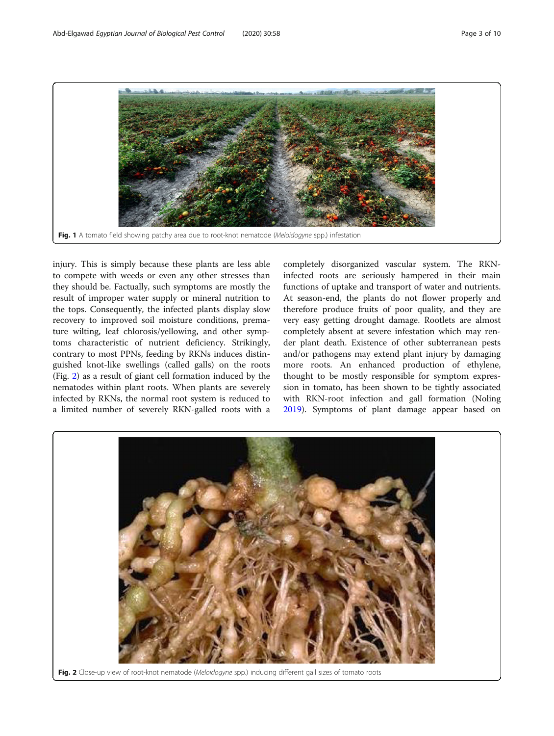<span id="page-2-0"></span>

Fig. 1 A tomato field showing patchy area due to root-knot nematode (Meloidogyne spp.) infestation

injury. This is simply because these plants are less able to compete with weeds or even any other stresses than they should be. Factually, such symptoms are mostly the result of improper water supply or mineral nutrition to the tops. Consequently, the infected plants display slow recovery to improved soil moisture conditions, premature wilting, leaf chlorosis/yellowing, and other symptoms characteristic of nutrient deficiency. Strikingly, contrary to most PPNs, feeding by RKNs induces distinguished knot-like swellings (called galls) on the roots (Fig. 2) as a result of giant cell formation induced by the nematodes within plant roots. When plants are severely infected by RKNs, the normal root system is reduced to a limited number of severely RKN-galled roots with a

completely disorganized vascular system. The RKNinfected roots are seriously hampered in their main functions of uptake and transport of water and nutrients. At season-end, the plants do not flower properly and therefore produce fruits of poor quality, and they are very easy getting drought damage. Rootlets are almost completely absent at severe infestation which may render plant death. Existence of other subterranean pests and/or pathogens may extend plant injury by damaging more roots. An enhanced production of ethylene, thought to be mostly responsible for symptom expression in tomato, has been shown to be tightly associated with RKN-root infection and gall formation (Noling [2019](#page-9-0)). Symptoms of plant damage appear based on

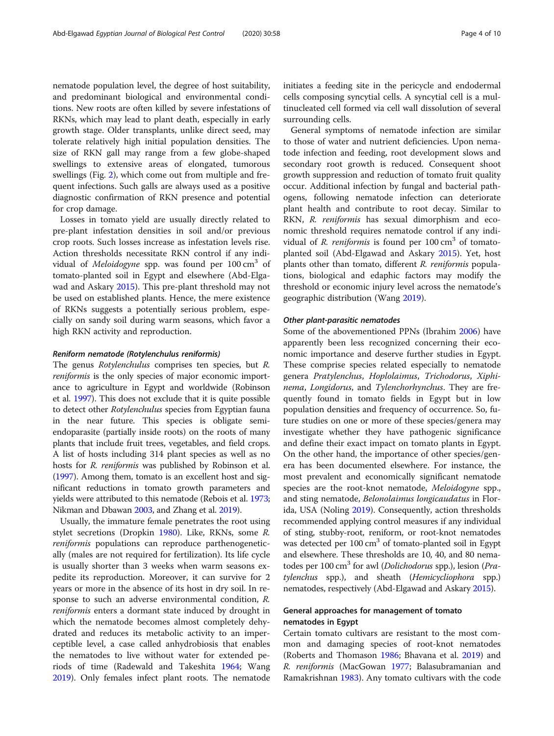nematode population level, the degree of host suitability, and predominant biological and environmental conditions. New roots are often killed by severe infestations of RKNs, which may lead to plant death, especially in early growth stage. Older transplants, unlike direct seed, may tolerate relatively high initial population densities. The size of RKN gall may range from a few globe-shaped swellings to extensive areas of elongated, tumorous swellings (Fig. [2\)](#page-2-0), which come out from multiple and frequent infections. Such galls are always used as a positive diagnostic confirmation of RKN presence and potential for crop damage.

Losses in tomato yield are usually directly related to pre-plant infestation densities in soil and/or previous crop roots. Such losses increase as infestation levels rise. Action thresholds necessitate RKN control if any individual of *Meloidogyne* spp. was found per  $100 \text{ cm}^3$  of tomato-planted soil in Egypt and elsewhere (Abd-Elgawad and Askary [2015](#page-8-0)). This pre-plant threshold may not be used on established plants. Hence, the mere existence of RKNs suggests a potentially serious problem, especially on sandy soil during warm seasons, which favor a high RKN activity and reproduction.

#### Reniform nematode (Rotylenchulus reniformis)

The genus Rotylenchulus comprises ten species, but R. reniformis is the only species of major economic importance to agriculture in Egypt and worldwide (Robinson et al. [1997](#page-9-0)). This does not exclude that it is quite possible to detect other Rotylenchulus species from Egyptian fauna in the near future. This species is obligate semiendoparasite (partially inside roots) on the roots of many plants that include fruit trees, vegetables, and field crops. A list of hosts including 314 plant species as well as no hosts for *R. reniformis* was published by Robinson et al. ([1997](#page-9-0)). Among them, tomato is an excellent host and significant reductions in tomato growth parameters and yields were attributed to this nematode (Rebois et al. [1973](#page-9-0); Nikman and Dbawan [2003,](#page-9-0) and Zhang et al. [2019\)](#page-9-0).

Usually, the immature female penetrates the root using stylet secretions (Dropkin [1980\)](#page-9-0). Like, RKNs, some R. reniformis populations can reproduce parthenogenetically (males are not required for fertilization). Its life cycle is usually shorter than 3 weeks when warm seasons expedite its reproduction. Moreover, it can survive for 2 years or more in the absence of its host in dry soil. In response to such an adverse environmental condition, R. reniformis enters a dormant state induced by drought in which the nematode becomes almost completely dehydrated and reduces its metabolic activity to an imperceptible level, a case called anhydrobiosis that enables the nematodes to live without water for extended periods of time (Radewald and Takeshita [1964;](#page-9-0) Wang [2019](#page-9-0)). Only females infect plant roots. The nematode initiates a feeding site in the pericycle and endodermal cells composing syncytial cells. A syncytial cell is a multinucleated cell formed via cell wall dissolution of several surrounding cells.

General symptoms of nematode infection are similar to those of water and nutrient deficiencies. Upon nematode infection and feeding, root development slows and secondary root growth is reduced. Consequent shoot growth suppression and reduction of tomato fruit quality occur. Additional infection by fungal and bacterial pathogens, following nematode infection can deteriorate plant health and contribute to root decay. Similar to RKN, R. reniformis has sexual dimorphism and economic threshold requires nematode control if any individual of R. reniformis is found per  $100 \text{ cm}^3$  of tomatoplanted soil (Abd-Elgawad and Askary [2015](#page-8-0)). Yet, host plants other than tomato, different R. reniformis populations, biological and edaphic factors may modify the threshold or economic injury level across the nematode's geographic distribution (Wang [2019\)](#page-9-0).

#### Other plant-parasitic nematodes

Some of the abovementioned PPNs (Ibrahim [2006](#page-9-0)) have apparently been less recognized concerning their economic importance and deserve further studies in Egypt. These comprise species related especially to nematode genera Pratylenchus, Hoplolaimus, Trichodorus, Xiphinema, Longidorus, and Tylenchorhynchus. They are frequently found in tomato fields in Egypt but in low population densities and frequency of occurrence. So, future studies on one or more of these species/genera may investigate whether they have pathogenic significance and define their exact impact on tomato plants in Egypt. On the other hand, the importance of other species/genera has been documented elsewhere. For instance, the most prevalent and economically significant nematode species are the root-knot nematode, Meloidogyne spp., and sting nematode, Belonolaimus longicaudatus in Florida, USA (Noling [2019](#page-9-0)). Consequently, action thresholds recommended applying control measures if any individual of sting, stubby-root, reniform, or root-knot nematodes was detected per  $100 \text{ cm}^3$  of tomato-planted soil in Egypt and elsewhere. These thresholds are 10, 40, and 80 nematodes per 100 cm<sup>3</sup> for awl (*Dolichodorus* spp.), lesion (*Pra*tylenchus spp.), and sheath (Hemicycliophora spp.) nematodes, respectively (Abd-Elgawad and Askary [2015\)](#page-8-0).

## General approaches for management of tomato nematodes in Egypt

Certain tomato cultivars are resistant to the most common and damaging species of root-knot nematodes (Roberts and Thomason [1986;](#page-9-0) Bhavana et al. [2019\)](#page-8-0) and R. reniformis (MacGowan [1977](#page-9-0); Balasubramanian and Ramakrishnan [1983\)](#page-8-0). Any tomato cultivars with the code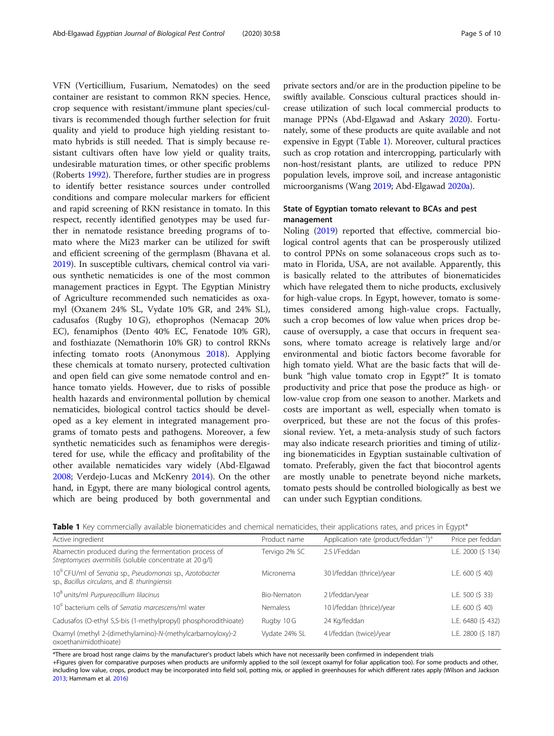<span id="page-4-0"></span>VFN (Verticillium, Fusarium, Nematodes) on the seed container are resistant to common RKN species. Hence, crop sequence with resistant/immune plant species/cultivars is recommended though further selection for fruit quality and yield to produce high yielding resistant tomato hybrids is still needed. That is simply because resistant cultivars often have low yield or quality traits, undesirable maturation times, or other specific problems (Roberts [1992\)](#page-9-0). Therefore, further studies are in progress to identify better resistance sources under controlled conditions and compare molecular markers for efficient and rapid screening of RKN resistance in tomato. In this respect, recently identified genotypes may be used further in nematode resistance breeding programs of tomato where the Mi23 marker can be utilized for swift and efficient screening of the germplasm (Bhavana et al. [2019](#page-8-0)). In susceptible cultivars, chemical control via various synthetic nematicides is one of the most common management practices in Egypt. The Egyptian Ministry of Agriculture recommended such nematicides as oxamyl (Oxanem 24% SL, Vydate 10% GR, and 24% SL), cadusafos (Rugby 10 G), ethoprophos (Nemacap 20% EC), fenamiphos (Dento 40% EC, Fenatode 10% GR), and fosthiazate (Nemathorin 10% GR) to control RKNs infecting tomato roots (Anonymous [2018\)](#page-8-0). Applying these chemicals at tomato nursery, protected cultivation and open field can give some nematode control and enhance tomato yields. However, due to risks of possible health hazards and environmental pollution by chemical nematicides, biological control tactics should be developed as a key element in integrated management programs of tomato pests and pathogens. Moreover, a few synthetic nematicides such as fenamiphos were deregistered for use, while the efficacy and profitability of the other available nematicides vary widely (Abd-Elgawad [2008](#page-8-0); Verdejo-Lucas and McKenry [2014\)](#page-9-0). On the other hand, in Egypt, there are many biological control agents, which are being produced by both governmental and private sectors and/or are in the production pipeline to be swiftly available. Conscious cultural practices should increase utilization of such local commercial products to manage PPNs (Abd-Elgawad and Askary [2020\)](#page-8-0). Fortunately, some of these products are quite available and not expensive in Egypt (Table 1). Moreover, cultural practices such as crop rotation and intercropping, particularly with non-host/resistant plants, are utilized to reduce PPN population levels, improve soil, and increase antagonistic microorganisms (Wang [2019;](#page-9-0) Abd-Elgawad [2020a](#page-8-0)).

## State of Egyptian tomato relevant to BCAs and pest management

Noling ([2019](#page-9-0)) reported that effective, commercial biological control agents that can be prosperously utilized to control PPNs on some solanaceous crops such as tomato in Florida, USA, are not available. Apparently, this is basically related to the attributes of bionematicides which have relegated them to niche products, exclusively for high-value crops. In Egypt, however, tomato is sometimes considered among high-value crops. Factually, such a crop becomes of low value when prices drop because of oversupply, a case that occurs in frequent seasons, where tomato acreage is relatively large and/or environmental and biotic factors become favorable for high tomato yield. What are the basic facts that will debunk "high value tomato crop in Egypt?" It is tomato productivity and price that pose the produce as high- or low-value crop from one season to another. Markets and costs are important as well, especially when tomato is overpriced, but these are not the focus of this professional review. Yet, a meta-analysis study of such factors may also indicate research priorities and timing of utilizing bionematicides in Egyptian sustainable cultivation of tomato. Preferably, given the fact that biocontrol agents are mostly unable to penetrate beyond niche markets, tomato pests should be controlled biologically as best we can under such Egyptian conditions.

|  |  | Table 1 Key commercially available bionematicides and chemical nematicides, their applications rates, and prices in Egypt* |  |  |  |  |  |
|--|--|----------------------------------------------------------------------------------------------------------------------------|--|--|--|--|--|
|  |  |                                                                                                                            |  |  |  |  |  |

| Active ingredient                                                                                                     | Product name       | Application rate (product/feddan <sup>-1</sup> ) <sup>+</sup> | Price per feddan<br>L.E. 2000 (\$ 134) |  |  |
|-----------------------------------------------------------------------------------------------------------------------|--------------------|---------------------------------------------------------------|----------------------------------------|--|--|
| Abamectin produced during the fermentation process of<br>Streptomyces avermitilis (soluble concentrate at 20 g/l)     | Tervigo 2% SC      | 2.5 I/Feddan                                                  |                                        |  |  |
| 10 <sup>9</sup> CFU/ml of Serratia sp., Pseudomonas sp., Azotobacter<br>sp., Bacillus circulans, and B. thuringiensis | Micronema          | 30 l/feddan (thrice)/year                                     | L.E. 600 (\$40)                        |  |  |
| 10 <sup>8</sup> units/ml Purpureocillium lilacinus                                                                    | <b>Bio-Nematon</b> | 2 l/feddan/year                                               | L.E. 500 (\$ 33)                       |  |  |
| 10 <sup>9</sup> bacterium cells of Serratia marcescens/ml water                                                       | <b>Nemaless</b>    | 10 l/feddan (thrice)/year                                     | L.E. 600 (\$40)                        |  |  |
| Cadusafos (O-ethyl S,S-bis (1-methylpropyl) phosphorodithioate)                                                       | Rugby 10 G         | 24 Kg/feddan                                                  | L.E. 6480 (\$432)                      |  |  |
| Oxamyl (methyl 2-(dimethylamino)-N-(methylcarbamoyloxy)-2<br>oxoethanimidothioate)                                    | Vydate 24% SL      | 4 l/feddan (twice)/year                                       | L.E. 2800 (\$ 187)                     |  |  |

\*There are broad host range claims by the manufacturer's product labels which have not necessarily been confirmed in independent trials

+Figures given for comparative purposes when products are uniformly applied to the soil (except oxamyl for foliar application too). For some products and other, including low value, crops, product may be incorporated into field soil, potting mix, or applied in greenhouses for which different rates apply (Wilson and Jackson [2013](#page-9-0); Hammam et al. [2016](#page-9-0))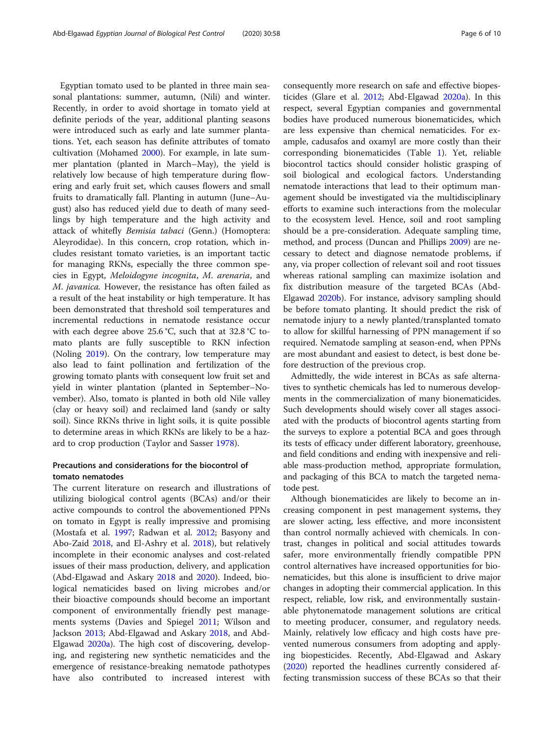Egyptian tomato used to be planted in three main seasonal plantations: summer, autumn, (Nili) and winter. Recently, in order to avoid shortage in tomato yield at definite periods of the year, additional planting seasons were introduced such as early and late summer plantations. Yet, each season has definite attributes of tomato cultivation (Mohamed [2000](#page-9-0)). For example, in late summer plantation (planted in March–May), the yield is relatively low because of high temperature during flowering and early fruit set, which causes flowers and small fruits to dramatically fall. Planting in autumn (June–August) also has reduced yield due to death of many seedlings by high temperature and the high activity and attack of whitefly Bemisia tabaci (Genn.) (Homoptera: Aleyrodidae). In this concern, crop rotation, which includes resistant tomato varieties, is an important tactic for managing RKNs, especially the three common species in Egypt, Meloidogyne incognita, M. arenaria, and M. javanica. However, the resistance has often failed as a result of the heat instability or high temperature. It has been demonstrated that threshold soil temperatures and incremental reductions in nematode resistance occur with each degree above 25.6 °C, such that at 32.8 °C tomato plants are fully susceptible to RKN infection (Noling [2019](#page-9-0)). On the contrary, low temperature may also lead to faint pollination and fertilization of the growing tomato plants with consequent low fruit set and yield in winter plantation (planted in September–November). Also, tomato is planted in both old Nile valley (clay or heavy soil) and reclaimed land (sandy or salty soil). Since RKNs thrive in light soils, it is quite possible to determine areas in which RKNs are likely to be a hazard to crop production (Taylor and Sasser [1978](#page-9-0)).

## Precautions and considerations for the biocontrol of tomato nematodes

The current literature on research and illustrations of utilizing biological control agents (BCAs) and/or their active compounds to control the abovementioned PPNs on tomato in Egypt is really impressive and promising (Mostafa et al. [1997](#page-9-0); Radwan et al. [2012](#page-9-0); Basyony and Abo-Zaid [2018](#page-8-0), and El-Ashry et al. [2018](#page-9-0)), but relatively incomplete in their economic analyses and cost-related issues of their mass production, delivery, and application (Abd-Elgawad and Askary [2018](#page-8-0) and [2020](#page-8-0)). Indeed, biological nematicides based on living microbes and/or their bioactive compounds should become an important component of environmentally friendly pest managements systems (Davies and Spiegel [2011](#page-8-0); Wilson and Jackson [2013](#page-9-0); Abd-Elgawad and Askary [2018](#page-8-0), and Abd-Elgawad [2020a](#page-8-0)). The high cost of discovering, developing, and registering new synthetic nematicides and the emergence of resistance-breaking nematode pathotypes have also contributed to increased interest with

consequently more research on safe and effective biopesticides (Glare et al. [2012;](#page-9-0) Abd-Elgawad [2020a\)](#page-8-0). In this respect, several Egyptian companies and governmental bodies have produced numerous bionematicides, which are less expensive than chemical nematicides. For example, cadusafos and oxamyl are more costly than their corresponding bionematicides (Table [1\)](#page-4-0). Yet, reliable biocontrol tactics should consider holistic grasping of soil biological and ecological factors. Understanding nematode interactions that lead to their optimum management should be investigated via the multidisciplinary efforts to examine such interactions from the molecular to the ecosystem level. Hence, soil and root sampling should be a pre-consideration. Adequate sampling time, method, and process (Duncan and Phillips [2009](#page-9-0)) are necessary to detect and diagnose nematode problems, if any, via proper collection of relevant soil and root tissues whereas rational sampling can maximize isolation and fix distribution measure of the targeted BCAs (Abd-Elgawad [2020b\)](#page-8-0). For instance, advisory sampling should be before tomato planting. It should predict the risk of nematode injury to a newly planted/transplanted tomato to allow for skillful harnessing of PPN management if so required. Nematode sampling at season-end, when PPNs are most abundant and easiest to detect, is best done before destruction of the previous crop.

Admittedly, the wide interest in BCAs as safe alternatives to synthetic chemicals has led to numerous developments in the commercialization of many bionematicides. Such developments should wisely cover all stages associated with the products of biocontrol agents starting from the surveys to explore a potential BCA and goes through its tests of efficacy under different laboratory, greenhouse, and field conditions and ending with inexpensive and reliable mass-production method, appropriate formulation, and packaging of this BCA to match the targeted nematode pest.

Although bionematicides are likely to become an increasing component in pest management systems, they are slower acting, less effective, and more inconsistent than control normally achieved with chemicals. In contrast, changes in political and social attitudes towards safer, more environmentally friendly compatible PPN control alternatives have increased opportunities for bionematicides, but this alone is insufficient to drive major changes in adopting their commercial application. In this respect, reliable, low risk, and environmentally sustainable phytonematode management solutions are critical to meeting producer, consumer, and regulatory needs. Mainly, relatively low efficacy and high costs have prevented numerous consumers from adopting and applying biopesticides. Recently, Abd-Elgawad and Askary ([2020\)](#page-8-0) reported the headlines currently considered affecting transmission success of these BCAs so that their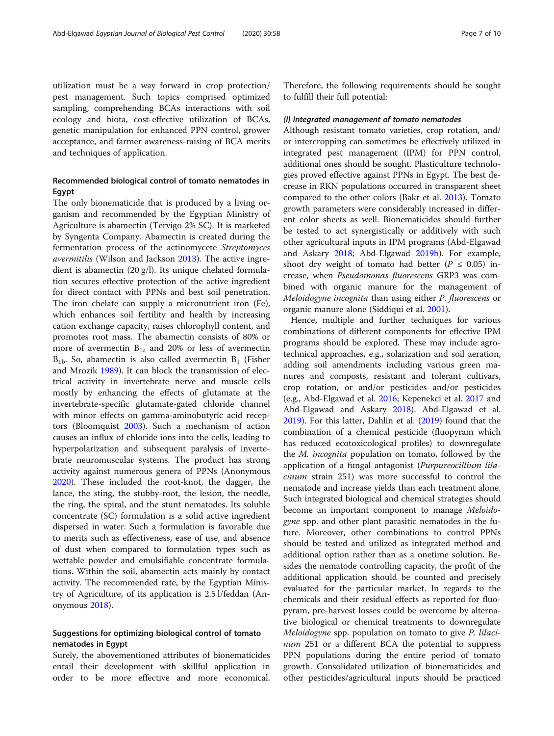utilization must be a way forward in crop protection/ pest management. Such topics comprised optimized sampling, comprehending BCAs interactions with soil ecology and biota, cost-effective utilization of BCAs, genetic manipulation for enhanced PPN control, grower acceptance, and farmer awareness-raising of BCA merits and techniques of application.

## Recommended biological control of tomato nematodes in Egypt

The only bionematicide that is produced by a living organism and recommended by the Egyptian Ministry of Agriculture is abamectin (Tervigo 2% SC). It is marketed by Syngenta Company. Abamectin is created during the fermentation process of the actinomycete Streptomyces avermitilis (Wilson and Jackson [2013](#page-9-0)). The active ingredient is abamectin (20 g/l). Its unique chelated formulation secures effective protection of the active ingredient for direct contact with PPNs and best soil penetration. The iron chelate can supply a micronutrient iron (Fe), which enhances soil fertility and health by increasing cation exchange capacity, raises chlorophyll content, and promotes root mass. The abamectin consists of 80% or more of avermectin  $B_{1a}$  and 20% or less of avermectin  $B_{1b}$ . So, abamectin is also called avermectin  $B_1$  (Fisher and Mrozik [1989\)](#page-9-0). It can block the transmission of electrical activity in invertebrate nerve and muscle cells mostly by enhancing the effects of glutamate at the invertebrate-specific glutamate-gated chloride channel with minor effects on gamma-aminobutyric acid receptors (Bloomquist [2003](#page-8-0)). Such a mechanism of action causes an influx of chloride ions into the cells, leading to hyperpolarization and subsequent paralysis of invertebrate neuromuscular systems. The product has strong activity against numerous genera of PPNs (Anonymous [2020](#page-8-0)). These included the root-knot, the dagger, the lance, the sting, the stubby-root, the lesion, the needle, the ring, the spiral, and the stunt nematodes. Its soluble concentrate (SC) formulation is a solid active ingredient dispersed in water. Such a formulation is favorable due to merits such as effectiveness, ease of use, and absence of dust when compared to formulation types such as wettable powder and emulsifiable concentrate formulations. Within the soil, abamectin acts mainly by contact activity. The recommended rate, by the Egyptian Ministry of Agriculture, of its application is 2.5 l/feddan (Anonymous [2018\)](#page-8-0).

## Suggestions for optimizing biological control of tomato nematodes in Egypt

Surely, the abovementioned attributes of bionematicides entail their development with skillful application in order to be more effective and more economical.

Therefore, the following requirements should be sought to fulfill their full potential:

#### (I) Integrated management of tomato nematodes

Although resistant tomato varieties, crop rotation, and/ or intercropping can sometimes be effectively utilized in integrated pest management (IPM) for PPN control, additional ones should be sought. Plasticulture technologies proved effective against PPNs in Egypt. The best decrease in RKN populations occurred in transparent sheet compared to the other colors (Bakr et al. [2013](#page-8-0)). Tomato growth parameters were considerably increased in different color sheets as well. Bionematicides should further be tested to act synergistically or additively with such other agricultural inputs in IPM programs (Abd-Elgawad and Askary [2018;](#page-8-0) Abd-Elgawad [2019b\)](#page-8-0). For example, shoot dry weight of tomato had better ( $P \le 0.05$ ) increase, when Pseudomonas fluorescens GRP3 was combined with organic manure for the management of Meloidogyne incognita than using either P. fluorescens or organic manure alone (Siddiqui et al. [2001\)](#page-9-0).

Hence, multiple and further techniques for various combinations of different components for effective IPM programs should be explored. These may include agrotechnical approaches, e.g., solarization and soil aeration, adding soil amendments including various green manures and composts, resistant and tolerant cultivars, crop rotation, or and/or pesticides and/or pesticides (e.g., Abd-Elgawad et al. [2016;](#page-8-0) Kepenekci et al. [2017](#page-9-0) and Abd-Elgawad and Askary [2018](#page-8-0)). Abd-Elgawad et al. [2019](#page-8-0)). For this latter, Dahlin et al. ([2019](#page-8-0)) found that the combination of a chemical pesticide (fluopyram which has reduced ecotoxicological profiles) to downregulate the M. incognita population on tomato, followed by the application of a fungal antagonist (Purpureocillium lilacinum strain 251) was more successful to control the nematode and increase yields than each treatment alone. Such integrated biological and chemical strategies should become an important component to manage Meloidogyne spp. and other plant parasitic nematodes in the future. Moreover, other combinations to control PPNs should be tested and utilized as integrated method and additional option rather than as a onetime solution. Besides the nematode controlling capacity, the profit of the additional application should be counted and precisely evaluated for the particular market. In regards to the chemicals and their residual effects as reported for fluopyram, pre-harvest losses could be overcome by alternative biological or chemical treatments to downregulate Meloidogyne spp. population on tomato to give P. lilacinum 251 or a different BCA the potential to suppress PPN populations during the entire period of tomato growth. Consolidated utilization of bionematicides and other pesticides/agricultural inputs should be practiced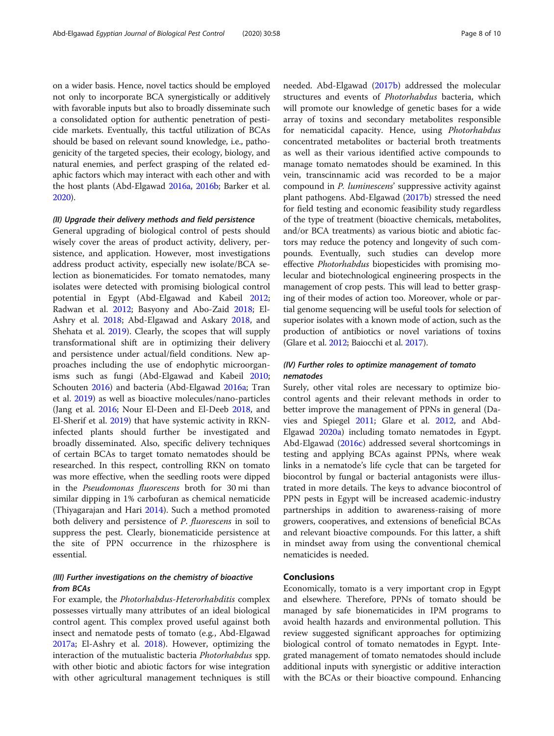on a wider basis. Hence, novel tactics should be employed not only to incorporate BCA synergistically or additively with favorable inputs but also to broadly disseminate such a consolidated option for authentic penetration of pesticide markets. Eventually, this tactful utilization of BCAs should be based on relevant sound knowledge, i.e., pathogenicity of the targeted species, their ecology, biology, and natural enemies, and perfect grasping of the related edaphic factors which may interact with each other and with the host plants (Abd-Elgawad [2016a](#page-8-0), [2016b;](#page-8-0) Barker et al. [2020\)](#page-8-0).

#### (II) Upgrade their delivery methods and field persistence

General upgrading of biological control of pests should wisely cover the areas of product activity, delivery, persistence, and application. However, most investigations address product activity, especially new isolate/BCA selection as bionematicides. For tomato nematodes, many isolates were detected with promising biological control potential in Egypt (Abd-Elgawad and Kabeil [2012](#page-8-0); Radwan et al. [2012](#page-9-0); Basyony and Abo-Zaid [2018](#page-8-0); El-Ashry et al. [2018;](#page-9-0) Abd-Elgawad and Askary [2018,](#page-8-0) and Shehata et al. [2019\)](#page-9-0). Clearly, the scopes that will supply transformational shift are in optimizing their delivery and persistence under actual/field conditions. New approaches including the use of endophytic microorganisms such as fungi (Abd-Elgawad and Kabeil [2010](#page-8-0); Schouten [2016](#page-9-0)) and bacteria (Abd-Elgawad [2016a;](#page-8-0) Tran et al. [2019\)](#page-9-0) as well as bioactive molecules/nano-particles (Jang et al. [2016;](#page-9-0) Nour El-Deen and El-Deeb [2018](#page-9-0), and El-Sherif et al. [2019](#page-9-0)) that have systemic activity in RKNinfected plants should further be investigated and broadly disseminated. Also, specific delivery techniques of certain BCAs to target tomato nematodes should be researched. In this respect, controlling RKN on tomato was more effective, when the seedling roots were dipped in the Pseudomonas fluorescens broth for 30 mi than similar dipping in 1% carbofuran as chemical nematicide (Thiyagarajan and Hari [2014\)](#page-9-0). Such a method promoted both delivery and persistence of P. fluorescens in soil to suppress the pest. Clearly, bionematicide persistence at the site of PPN occurrence in the rhizosphere is essential.

## (III) Further investigations on the chemistry of bioactive from BCAs

For example, the Photorhabdus-Heterorhabditis complex possesses virtually many attributes of an ideal biological control agent. This complex proved useful against both insect and nematode pests of tomato (e.g., Abd-Elgawad [2017a;](#page-8-0) El-Ashry et al. [2018\)](#page-9-0). However, optimizing the interaction of the mutualistic bacteria Photorhabdus spp. with other biotic and abiotic factors for wise integration with other agricultural management techniques is still needed. Abd-Elgawad ([2017b\)](#page-8-0) addressed the molecular structures and events of Photorhabdus bacteria, which will promote our knowledge of genetic bases for a wide array of toxins and secondary metabolites responsible for nematicidal capacity. Hence, using Photorhabdus concentrated metabolites or bacterial broth treatments as well as their various identified active compounds to manage tomato nematodes should be examined. In this vein, transcinnamic acid was recorded to be a major compound in P. luminescens' suppressive activity against plant pathogens. Abd-Elgawad [\(2017b](#page-8-0)) stressed the need for field testing and economic feasibility study regardless of the type of treatment (bioactive chemicals, metabolites, and/or BCA treatments) as various biotic and abiotic factors may reduce the potency and longevity of such compounds. Eventually, such studies can develop more effective Photorhabdus biopesticides with promising molecular and biotechnological engineering prospects in the management of crop pests. This will lead to better grasping of their modes of action too. Moreover, whole or partial genome sequencing will be useful tools for selection of superior isolates with a known mode of action, such as the production of antibiotics or novel variations of toxins (Glare et al. [2012](#page-9-0); Baiocchi et al. [2017](#page-8-0)).

## (IV) Further roles to optimize management of tomato nematodes

Surely, other vital roles are necessary to optimize biocontrol agents and their relevant methods in order to better improve the management of PPNs in general (Davies and Spiegel [2011](#page-8-0); Glare et al. [2012](#page-9-0), and Abd-Elgawad [2020a](#page-8-0)) including tomato nematodes in Egypt. Abd-Elgawad ([2016c](#page-8-0)) addressed several shortcomings in testing and applying BCAs against PPNs, where weak links in a nematode's life cycle that can be targeted for biocontrol by fungal or bacterial antagonists were illustrated in more details. The keys to advance biocontrol of PPN pests in Egypt will be increased academic-industry partnerships in addition to awareness-raising of more growers, cooperatives, and extensions of beneficial BCAs and relevant bioactive compounds. For this latter, a shift in mindset away from using the conventional chemical nematicides is needed.

## Conclusions

Economically, tomato is a very important crop in Egypt and elsewhere. Therefore, PPNs of tomato should be managed by safe bionematicides in IPM programs to avoid health hazards and environmental pollution. This review suggested significant approaches for optimizing biological control of tomato nematodes in Egypt. Integrated management of tomato nematodes should include additional inputs with synergistic or additive interaction with the BCAs or their bioactive compound. Enhancing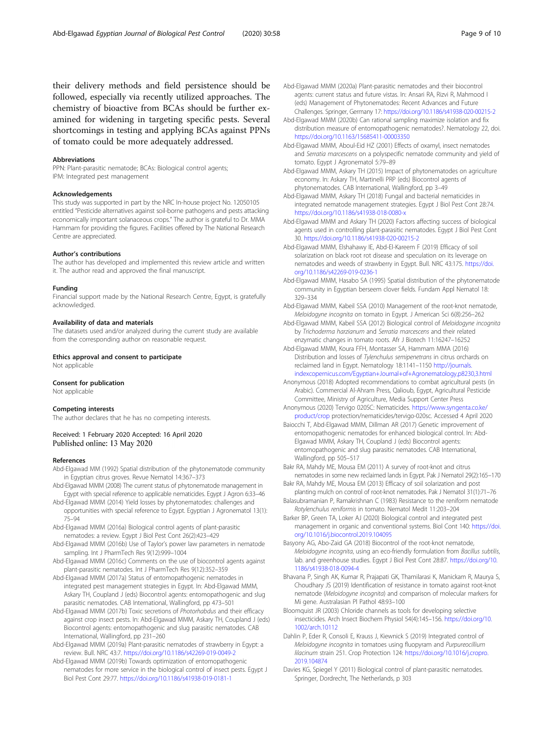<span id="page-8-0"></span>their delivery methods and field persistence should be followed, especially via recently utilized approaches. The chemistry of bioactive from BCAs should be further examined for widening in targeting specific pests. Several shortcomings in testing and applying BCAs against PPNs of tomato could be more adequately addressed.

#### Abbreviations

PPN: Plant-parasitic nematode; BCAs: Biological control agents; IPM: Integrated pest management

#### Acknowledgements

This study was supported in part by the NRC In-house project No. 12050105 entitled "Pesticide alternatives against soil-borne pathogens and pests attacking economically important solanaceous crops." The author is grateful to Dr. MMA Hammam for providing the figures. Facilities offered by The National Research Centre are appreciated.

#### Author's contributions

The author has developed and implemented this review article and written it. The author read and approved the final manuscript.

#### Funding

Financial support made by the National Research Centre, Egypt, is gratefully acknowledged.

#### Availability of data and materials

The datasets used and/or analyzed during the current study are available from the corresponding author on reasonable request.

Ethics approval and consent to participate Not applicable

#### Consent for publication

Not applicable

#### Competing interests

The author declares that he has no competing interests.

#### Received: 1 February 2020 Accepted: 16 April 2020 Published online: 13 May 2020

#### References

- Abd-Elgawad MM (1992) Spatial distribution of the phytonematode community in Egyptian citrus groves. Revue Nematol 14:367–373
- Abd-Elgawad MMM (2008) The current status of phytonematode management in Egypt with special reference to applicable nematicides. Egypt J Agron 6:33–46
- Abd-Elgawad MMM (2014) Yield losses by phytonematodes: challenges and opportunities with special reference to Egypt. Egyptian J Agronematol 13(1): 75–94
- Abd-Elgawad MMM (2016a) Biological control agents of plant-parasitic nematodes: a review. Egypt J Biol Pest Cont 26(2):423–429
- Abd-Elgawad MMM (2016b) Use of Taylor's power law parameters in nematode sampling. Int J PharmTech Res 9(12):999–1004
- Abd-Elgawad MMM (2016c) Comments on the use of biocontrol agents against plant-parasitic nematodes. Int J PharmTech Res 9(12):352–359
- Abd-Elgawad MMM (2017a) Status of entomopathogenic nematodes in integrated pest management strategies in Egypt. In: Abd-Elgawad MMM, Askary TH, Coupland J (eds) Biocontrol agents: entomopathogenic and slug parasitic nematodes. CAB International, Wallingford, pp 473–501
- Abd-Elgawad MMM (2017b) Toxic secretions of Photorhabdus and their efficacy against crop insect pests. In: Abd-Elgawad MMM, Askary TH, Coupland J (eds) Biocontrol agents: entomopathogenic and slug parasitic nematodes. CAB International, Wallingford, pp 231–260
- Abd-Elgawad MMM (2019a) Plant-parasitic nematodes of strawberry in Egypt: a review. Bull. NRC 43:7. <https://doi.org/10.1186/s42269-019-0049-2>
- Abd-Elgawad MMM (2019b) Towards optimization of entomopathogenic nematodes for more service in the biological control of insect pests. Egypt J Biol Pest Cont 29:77. <https://doi.org/10.1186/s41938-019-0181-1>
- Abd-Elgawad MMM (2020a) Plant-parasitic nematodes and their biocontrol agents: current status and future vistas. In: Ansari RA, Rizvi R, Mahmood I (eds) Management of Phytonematodes: Recent Advances and Future Challenges. Springer, Germany 17: <https://doi.org/10.1186/s41938-020-00215-2>
- Abd-Elgawad MMM (2020b) Can rational sampling maximize isolation and fix distribution measure of entomopathogenic nematodes?. Nematology 22, doi. <https://doi.org/10.1163/15685411-00003350>
- Abd-Elgawad MMM, Aboul-Eid HZ (2001) Effects of oxamyl, insect nematodes and Serratia marcescens on a polyspecific nematode community and yield of tomato. Egypt J Agronematol 5:79–89
- Abd-Elgawad MMM, Askary TH (2015) Impact of phytonematodes on agriculture economy. In: Askary TH, Martinelli PRP (eds) Biocontrol agents of phytonematodes. CAB International, Wallingford, pp 3–49
- Abd-Elgawad MMM, Askary TH (2018) Fungal and bacterial nematicides in integrated nematode management strategies. Egypt J Biol Pest Cont 28:74. <https://doi.org/10.1186/s41938-018-0080-x>
- Abd-Elgawad MMM and Askary TH (2020) Factors affecting success of biological agents used in controlling plant-parasitic nematodes. Egypt J Biol Pest Cont 30. <https://doi.org/10.1186/s41938-020-00215-2>
- Abd-Elgawad MMM, Elshahawy IE, Abd-El-Kareem F (2019) Efficacy of soil solarization on black root rot disease and speculation on its leverage on nematodes and weeds of strawberry in Egypt. Bull. NRC 43:175. [https://doi.](https://doi.org/10.1186/s42269-019-0236-1) [org/10.1186/s42269-019-0236-1](https://doi.org/10.1186/s42269-019-0236-1)
- Abd-Elgawad MMM, Hasabo SA (1995) Spatial distribution of the phytonematode community in Egyptian berseem clover fields. Fundam Appl Nematol 18: 329–334
- Abd-Elgawad MMM, Kabeil SSA (2010) Management of the root-knot nematode, Meloidogyne incognita on tomato in Egypt. J American Sci 6(8):256–262
- Abd-Elgawad MMM, Kabeil SSA (2012) Biological control of Meloidogyne incognita by Trichoderma harzianum and Serratia marcescens and their related enzymatic changes in tomato roots. Afr J Biotech 11:16247–16252
- Abd-Elgawad MMM, Koura FFH, Montasser SA, Hammam MMA (2016) Distribution and losses of Tylenchulus semipenetrans in citrus orchards on reclaimed land in Egypt. Nematology 18:1141–1150 [http://journals.](http://journals.indexcopernicus.com/Egyptian+Journal+of+Agronematology,p8230,3.html) [indexcopernicus.com/Egyptian+Journal+of+Agronematology,p8230,3.html](http://journals.indexcopernicus.com/Egyptian+Journal+of+Agronematology,p8230,3.html)
- Anonymous (2018) Adopted recommendations to combat agricultural pests (in Arabic). Commercial Al-Ahram Press, Qalioub, Egypt, Agricultural Pesticide Committee, Ministry of Agriculture, Media Support Center Press
- Anonymous (2020) Tervigo 020SC: Nematicides. [https://www.syngenta.co.ke/](https://www.syngenta.co.ke/product/crop) [product/crop](https://www.syngenta.co.ke/product/crop) protection/nematicides/tervigo-020sc. Accessed 4 April 2020
- Baiocchi T, Abd-Elgawad MMM, Dillman AR (2017) Genetic improvement of entomopathogenic nematodes for enhanced biological control. In: Abd-Elgawad MMM, Askary TH, Coupland J (eds) Biocontrol agents: entomopathogenic and slug parasitic nematodes. CAB International, Wallingford, pp 505–517
- Bakr RA, Mahdy ME, Mousa EM (2011) A survey of root-knot and citrus nematodes in some new reclaimed lands in Egypt. Pak J Nematol 29(2):165–170
- Bakr RA, Mahdy ME, Mousa EM (2013) Efficacy of soil solarization and post planting mulch on control of root-knot nematodes. Pak J Nematol 31(1):71–76
- Balasubramanian P, Ramakrishnan C (1983) Resistance to the reniform nematode Rotylenchulus reniformis in tomato. Nematol Medit 11:203–204
- Barker BP, Green TA, Loker AJ (2020) Biological control and integrated pest management in organic and conventional systems. Biol Cont 140: [https://doi.](https://doi.org/10.1016/j.biocontrol.2019.104095) [org/10.1016/j.biocontrol.2019.104095](https://doi.org/10.1016/j.biocontrol.2019.104095)
- Basyony AG, Abo-Zaid GA (2018) Biocontrol of the root-knot nematode, Meloidogyne incognita, using an eco-friendly formulation from Bacillus subtilis, lab. and greenhouse studies. Egypt J Biol Pest Cont 28:87. [https://doi.org/10.](https://doi.org/10.1186/s41938-018-0094-4) [1186/s41938-018-0094-4](https://doi.org/10.1186/s41938-018-0094-4)
- Bhavana P, Singh AK, Kumar R, Prajapati GK, Thamilarasi K, Manickam R, Maurya S, Choudhary JS (2019) Identification of resistance in tomato against root-knot nematode (Meloidogyne incognita) and comparison of molecular markers for Mi gene. Australasian Pl Pathol 48:93–100
- Bloomquist JR (2003) Chloride channels as tools for developing selective insecticides. Arch Insect Biochem Physiol 54(4):145–156. [https://doi.org/10.](https://doi.org/10.1002/arch.10112) [1002/arch.10112](https://doi.org/10.1002/arch.10112)
- Dahlin P, Eder R, Consoli E, Krauss J, Kiewnick S (2019) Integrated control of Meloidogyne incognita in tomatoes using fluopyram and Purpureocillium lilacinum strain 251. Crop Protection 124: [https://doi.org/10.1016/j.cropro.](https://doi.org/10.1016/j.cropro.2019.104874) [2019.104874](https://doi.org/10.1016/j.cropro.2019.104874)
- Davies KG, Spiegel Y (2011) Biological control of plant-parasitic nematodes. Springer, Dordrecht, The Netherlands, p 303